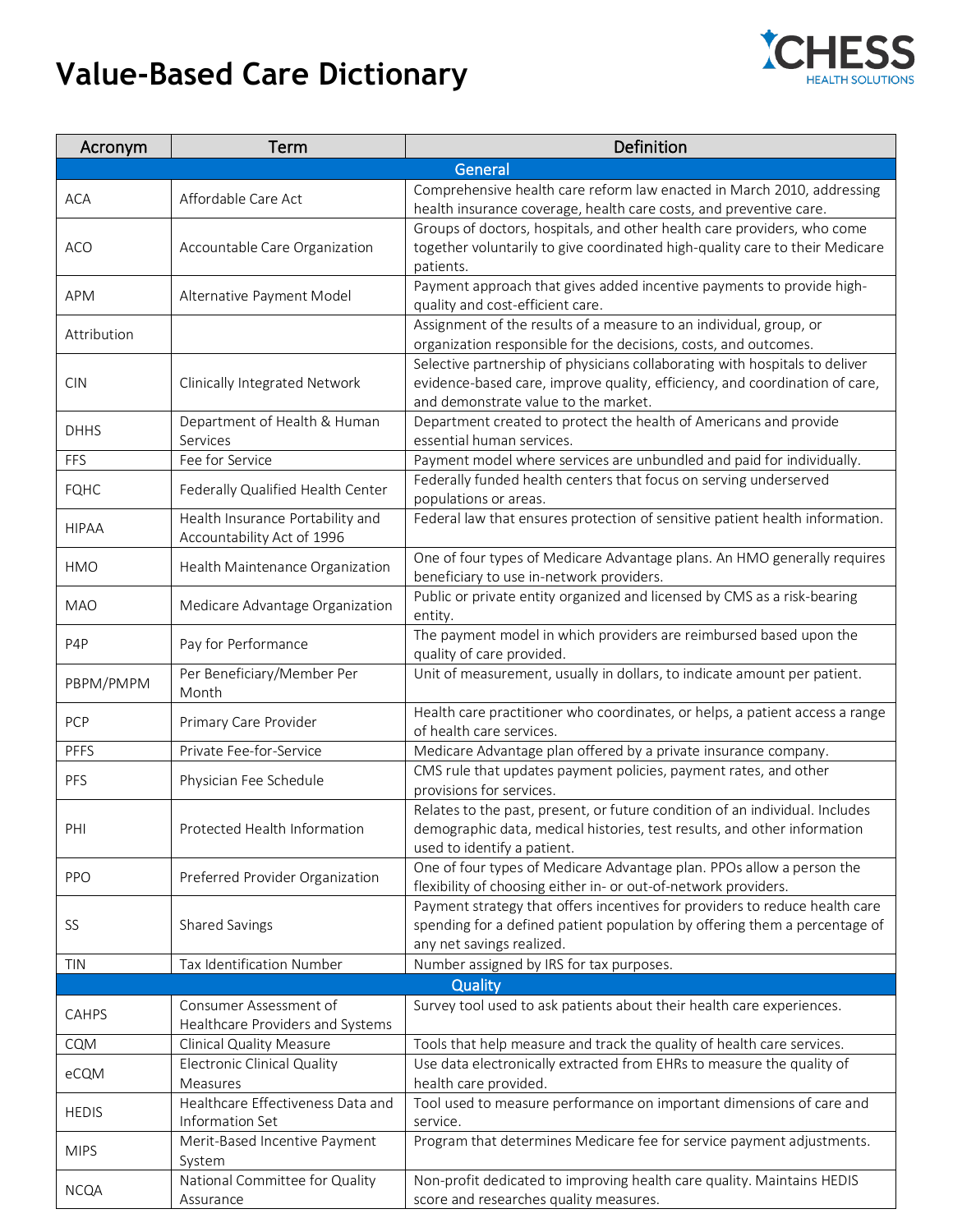## **Value-Based Care Dictionary**



| Acronym          | Term                                                           | Definition                                                                                                                                                                                         |
|------------------|----------------------------------------------------------------|----------------------------------------------------------------------------------------------------------------------------------------------------------------------------------------------------|
|                  |                                                                | General                                                                                                                                                                                            |
| <b>ACA</b>       | Affordable Care Act                                            | Comprehensive health care reform law enacted in March 2010, addressing<br>health insurance coverage, health care costs, and preventive care.                                                       |
| <b>ACO</b>       | Accountable Care Organization                                  | Groups of doctors, hospitals, and other health care providers, who come<br>together voluntarily to give coordinated high-quality care to their Medicare<br>patients.                               |
| APM              | Alternative Payment Model                                      | Payment approach that gives added incentive payments to provide high-<br>quality and cost-efficient care.                                                                                          |
| Attribution      |                                                                | Assignment of the results of a measure to an individual, group, or<br>organization responsible for the decisions, costs, and outcomes.                                                             |
| <b>CIN</b>       | Clinically Integrated Network                                  | Selective partnership of physicians collaborating with hospitals to deliver<br>evidence-based care, improve quality, efficiency, and coordination of care,<br>and demonstrate value to the market. |
| <b>DHHS</b>      | Department of Health & Human<br>Services                       | Department created to protect the health of Americans and provide<br>essential human services.                                                                                                     |
| FFS              | Fee for Service                                                | Payment model where services are unbundled and paid for individually.                                                                                                                              |
| <b>FQHC</b>      | Federally Qualified Health Center                              | Federally funded health centers that focus on serving underserved<br>populations or areas.                                                                                                         |
| <b>HIPAA</b>     | Health Insurance Portability and<br>Accountability Act of 1996 | Federal law that ensures protection of sensitive patient health information.                                                                                                                       |
| HMO              | Health Maintenance Organization                                | One of four types of Medicare Advantage plans. An HMO generally requires<br>beneficiary to use in-network providers.                                                                               |
| <b>MAO</b>       | Medicare Advantage Organization                                | Public or private entity organized and licensed by CMS as a risk-bearing<br>entity.                                                                                                                |
| P <sub>4</sub> P | Pay for Performance                                            | The payment model in which providers are reimbursed based upon the<br>quality of care provided.                                                                                                    |
| PBPM/PMPM        | Per Beneficiary/Member Per<br>Month                            | Unit of measurement, usually in dollars, to indicate amount per patient.                                                                                                                           |
| PCP              | Primary Care Provider                                          | Health care practitioner who coordinates, or helps, a patient access a range<br>of health care services.                                                                                           |
| <b>PFFS</b>      | Private Fee-for-Service                                        | Medicare Advantage plan offered by a private insurance company.                                                                                                                                    |
| PFS              | Physician Fee Schedule                                         | CMS rule that updates payment policies, payment rates, and other<br>provisions for services.                                                                                                       |
| PHI              | Protected Health Information                                   | Relates to the past, present, or future condition of an individual. Includes<br>demographic data, medical histories, test results, and other information<br>used to identify a patient.            |
| <b>PPO</b>       | Preferred Provider Organization                                | One of four types of Medicare Advantage plan. PPOs allow a person the<br>flexibility of choosing either in- or out-of-network providers.                                                           |
| SS               | Shared Savings                                                 | Payment strategy that offers incentives for providers to reduce health care<br>spending for a defined patient population by offering them a percentage of<br>any net savings realized.             |
| <b>TIN</b>       | Tax Identification Number                                      | Number assigned by IRS for tax purposes.                                                                                                                                                           |
|                  |                                                                | Quality                                                                                                                                                                                            |
| CAHPS            | Consumer Assessment of                                         | Survey tool used to ask patients about their health care experiences.                                                                                                                              |
|                  | Healthcare Providers and Systems                               |                                                                                                                                                                                                    |
| CQM              | Clinical Quality Measure                                       | Tools that help measure and track the quality of health care services.                                                                                                                             |
| eCQM             | <b>Electronic Clinical Quality</b><br>Measures                 | Use data electronically extracted from EHRs to measure the quality of<br>health care provided.                                                                                                     |
| <b>HEDIS</b>     | Healthcare Effectiveness Data and<br>Information Set           | Tool used to measure performance on important dimensions of care and<br>service.                                                                                                                   |
| <b>MIPS</b>      | Merit-Based Incentive Payment                                  | Program that determines Medicare fee for service payment adjustments.                                                                                                                              |
| <b>NCQA</b>      | System<br>National Committee for Quality<br>Assurance          | Non-profit dedicated to improving health care quality. Maintains HEDIS<br>score and researches quality measures.                                                                                   |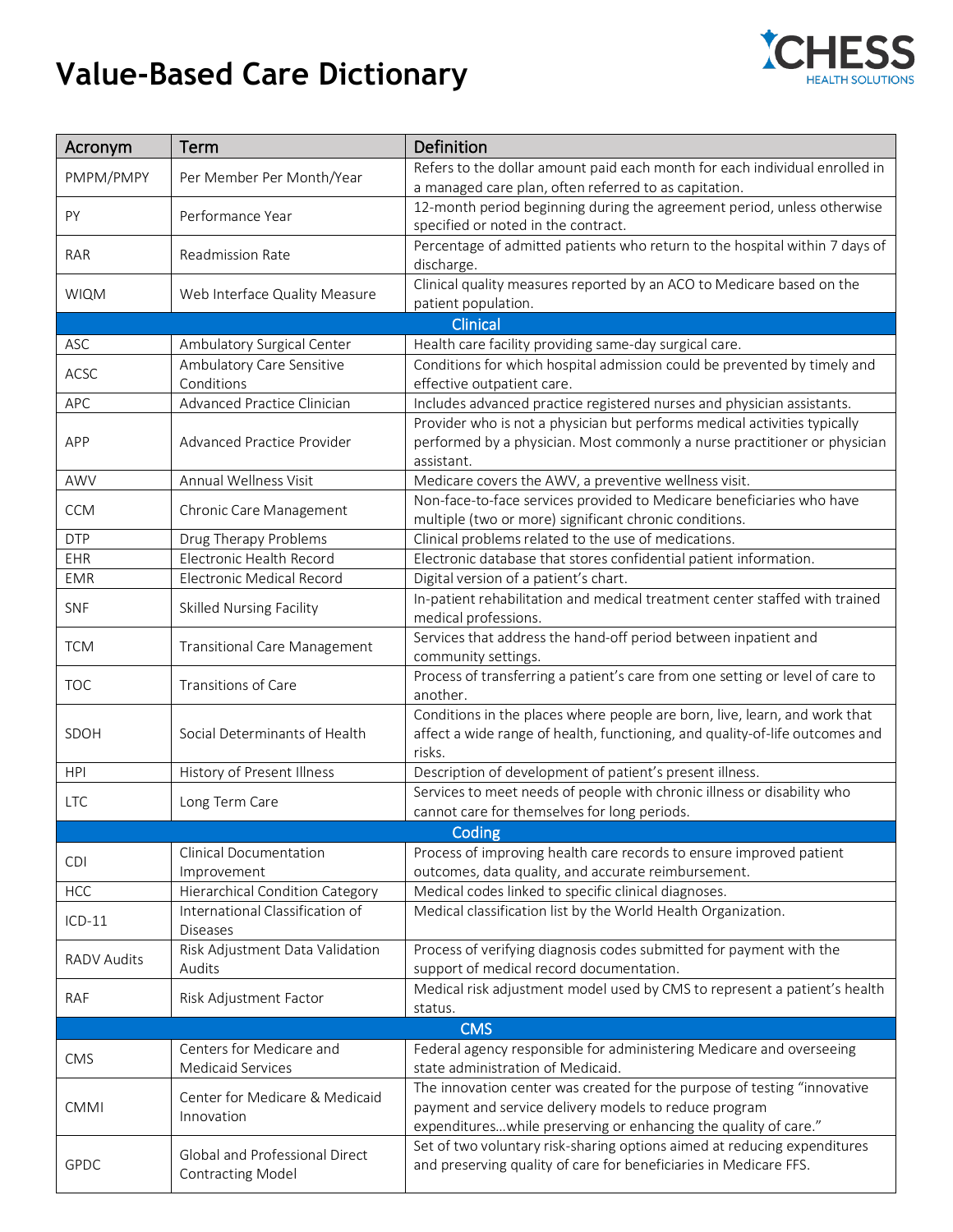## **Value-Based Care Dictionary**



| Acronym            | Term                                                       | Definition                                                                                                                     |
|--------------------|------------------------------------------------------------|--------------------------------------------------------------------------------------------------------------------------------|
| PMPM/PMPY          | Per Member Per Month/Year                                  | Refers to the dollar amount paid each month for each individual enrolled in                                                    |
|                    |                                                            | a managed care plan, often referred to as capitation.                                                                          |
| PY                 | Performance Year                                           | 12-month period beginning during the agreement period, unless otherwise<br>specified or noted in the contract.                 |
|                    |                                                            | Percentage of admitted patients who return to the hospital within 7 days of                                                    |
| RAR                | Readmission Rate                                           | discharge.                                                                                                                     |
|                    |                                                            | Clinical quality measures reported by an ACO to Medicare based on the                                                          |
| <b>WIQM</b>        | Web Interface Quality Measure                              | patient population.                                                                                                            |
|                    |                                                            | Clinical                                                                                                                       |
| ASC                | Ambulatory Surgical Center                                 | Health care facility providing same-day surgical care.                                                                         |
| ACSC               | Ambulatory Care Sensitive                                  | Conditions for which hospital admission could be prevented by timely and                                                       |
|                    | Conditions                                                 | effective outpatient care.                                                                                                     |
| <b>APC</b>         | Advanced Practice Clinician                                | Includes advanced practice registered nurses and physician assistants.                                                         |
|                    | Advanced Practice Provider                                 | Provider who is not a physician but performs medical activities typically                                                      |
| APP                |                                                            | performed by a physician. Most commonly a nurse practitioner or physician                                                      |
| AWV                | Annual Wellness Visit                                      | assistant.                                                                                                                     |
|                    |                                                            | Medicare covers the AWV, a preventive wellness visit.<br>Non-face-to-face services provided to Medicare beneficiaries who have |
| <b>CCM</b>         | Chronic Care Management                                    | multiple (two or more) significant chronic conditions.                                                                         |
| <b>DTP</b>         | Drug Therapy Problems                                      | Clinical problems related to the use of medications.                                                                           |
| EHR                | Electronic Health Record                                   | Electronic database that stores confidential patient information.                                                              |
| <b>EMR</b>         | <b>Electronic Medical Record</b>                           | Digital version of a patient's chart.                                                                                          |
|                    |                                                            | In-patient rehabilitation and medical treatment center staffed with trained                                                    |
| <b>SNF</b>         | <b>Skilled Nursing Facility</b>                            | medical professions.                                                                                                           |
| <b>TCM</b>         | <b>Transitional Care Management</b>                        | Services that address the hand-off period between inpatient and                                                                |
|                    |                                                            | community settings.                                                                                                            |
| <b>TOC</b>         | Transitions of Care                                        | Process of transferring a patient's care from one setting or level of care to                                                  |
|                    |                                                            | another.                                                                                                                       |
|                    | Social Determinants of Health                              | Conditions in the places where people are born, live, learn, and work that                                                     |
| SDOH               |                                                            | affect a wide range of health, functioning, and quality-of-life outcomes and<br>risks.                                         |
| <b>HPI</b>         | History of Present Illness                                 | Description of development of patient's present illness.                                                                       |
|                    |                                                            | Services to meet needs of people with chronic illness or disability who                                                        |
| <b>LTC</b>         | Long Term Care                                             | cannot care for themselves for long periods.                                                                                   |
|                    |                                                            | Coding                                                                                                                         |
|                    | <b>Clinical Documentation</b>                              | Process of improving health care records to ensure improved patient                                                            |
| <b>CDI</b>         | Improvement                                                | outcomes, data quality, and accurate reimbursement.                                                                            |
| <b>HCC</b>         | Hierarchical Condition Category                            | Medical codes linked to specific clinical diagnoses.                                                                           |
| $ICD-11$           | International Classification of                            | Medical classification list by the World Health Organization.                                                                  |
|                    | <b>Diseases</b>                                            |                                                                                                                                |
| <b>RADV Audits</b> | Risk Adjustment Data Validation                            | Process of verifying diagnosis codes submitted for payment with the                                                            |
|                    | Audits                                                     | support of medical record documentation.<br>Medical risk adjustment model used by CMS to represent a patient's health          |
| RAF                | Risk Adjustment Factor                                     | status.                                                                                                                        |
|                    |                                                            | <b>CMS</b>                                                                                                                     |
|                    | Centers for Medicare and                                   | Federal agency responsible for administering Medicare and overseeing                                                           |
| <b>CMS</b>         | <b>Medicaid Services</b>                                   | state administration of Medicaid.                                                                                              |
| <b>CMMI</b>        | Center for Medicare & Medicaid<br>Innovation               | The innovation center was created for the purpose of testing "innovative                                                       |
|                    |                                                            | payment and service delivery models to reduce program                                                                          |
|                    |                                                            | expenditures while preserving or enhancing the quality of care."                                                               |
| <b>GPDC</b>        | Global and Professional Direct<br><b>Contracting Model</b> | Set of two voluntary risk-sharing options aimed at reducing expenditures                                                       |
|                    |                                                            | and preserving quality of care for beneficiaries in Medicare FFS.                                                              |
|                    |                                                            |                                                                                                                                |